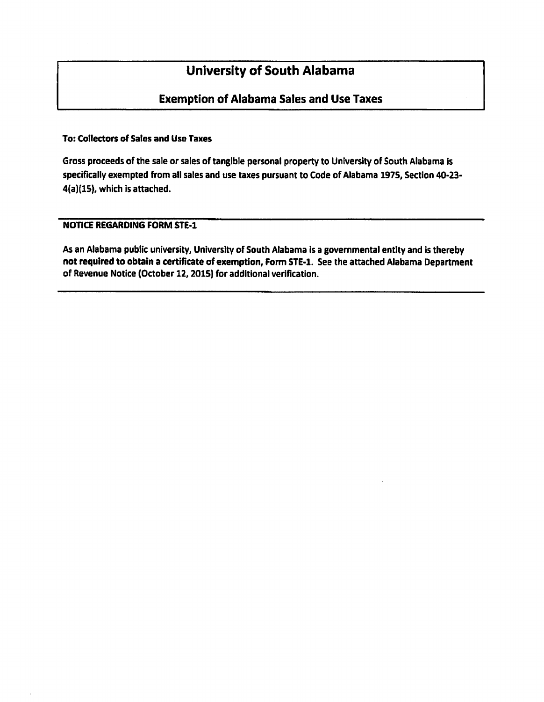# **University of South Alabama**

# **Exemption of Alabama Sales and Use Taxes**

### **To: Collectors of Sales and Use Taxes**

Gross proceeds of the sale or sales of tangible personal property to University of South Alabama is specifically exempted from all sales and use taxes pursuant to Code of Alabama 1975, Section 40-23-4(a)(15), which is attached.

## **NOTICE REGARDING FORM STE-1**

As an Alabama public university, University of South Alabama is a governmental entity and is thereby not required to obtain a certificate of exemption, Form STE-1. See the attached Alabama Department of Revenue Notice (October 12, 2015) for additional verification.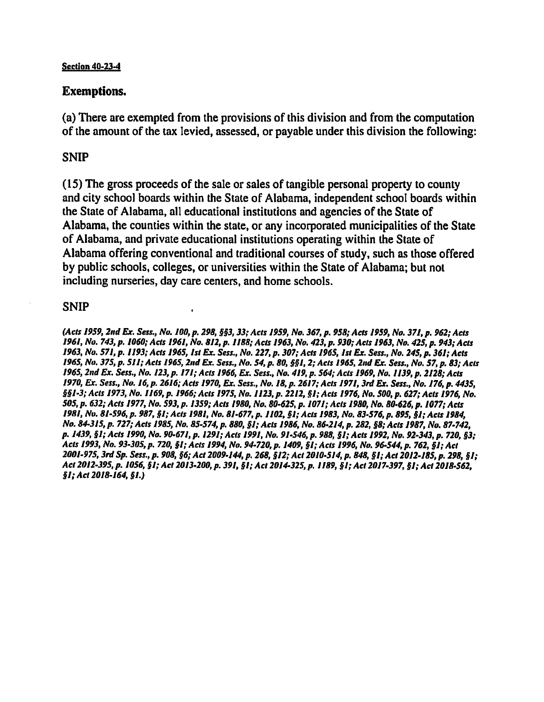#### **Section 40-23-4**

# **Exemptions.**

(a) There are exempted from the provisions of this division and from the computation of the amount of the tax levied, assessed, or payable under this division the following:

# **SNIP**

(15) The gross proceeds of the sale or sales of tangible personal property to county and city school boards within the State of Alabama, independent school boards within the State of Alabama, all educational institutions and agencies of the State of Alabama, the counties within the state, or any incorporated municipalities of the State of Alabama, and private educational institutions operating within the State of Alabama offering conventional and traditional courses of study, such as those offered by public schools, colleges, or universities within the State of Alabama; but not including nurseries, day care centers, and home schools.

# **SNIP**

(Acts 1959, 2nd Ex. Sess., No. 100, p. 298, §§3, 33; Acts 1959, No. 367, p. 958; Acts 1959, No. 371, p. 962; Acts 1961, No. 743, p. 1060; Acts 1961, No. 812, p. 1188; Acts 1963, No. 423, p. 930; Acts 1963, No. 425, p. 943; Acts 1963, No. 571, p. 1193; Acts 1965, 1st Ex. Sess., No. 227, p. 307; Acts 1965, 1st Ex. Sess., No. 245, p. 361; Acts 1965, No. 375, p. 511; Acts 1965, 2nd Ex. Sess., No. 54, p. 80, §§1, 2; Acts 1965, 2nd Ex. Sess., No. 57, p. 83; Acts 1965, 2nd Ex. Sess., No. 123, p. 171; Acts 1966, Ex. Sess., No. 419, p. 564; Acts 1969, No. 1139, p. 2128; Acts 1970, Ex. Sess., No. 16, p. 2616; Acts 1970, Ex. Sess., No. 18, p. 2617; Acts 1971, 3rd Ex. Sess., No. 176, p. 4435, §§1-3; Acts 1973, No. 1169, p. 1966; Acts 1975, No. 1123, p. 2212, §1; Acts 1976, No. 500, p. 627; Acts 1976, No. 505, p. 632; Acts 1977, No. 593, p. 1359; Acts 1980, No. 80-625, p. 1071; Acts 1980, No. 80-626, p. 1077; Acts 1981, Nv. 81-596, p. 987, §1; Acts 1981, No. 81-677, p. 1102, §1; Acts 1983, No. 83-576, p. 895, §1; Acts 1984, No. 84-315, p. 727; Acts 1985, No. 85-574, p. 880, §1; Acts 1986, No. 86-214, p. 282, §8; Acts 1987, No. 87-742, p. 1439, §1; Acts 1990, No. 90-671, p. 1291; Acts 1991, No. 91-546, p. 988, §1; Acts 1992, No. 92-343, p. 720, §3; Acts 1993, No. 93-305, p. 720, §1; Acts 1994, No. 94-720, p. 1409, §1; Acts 1996, No. 96-544, p. 762, §1; Act 2001-975, 3rd Sp. Sess., p. 908, §6; Act 2009-144, p. 268, §12; Act 2010-514, p. 848, §1; Act 2012-185, p. 298, §1; Act 2012-395, p. 1056, §1; Act 2013-200, p. 391, §1; Act 2014-325, p. 1189, §1; Act 2017-397, §1; Act 2018-562,  $$I; Act 2018-164, $I.)$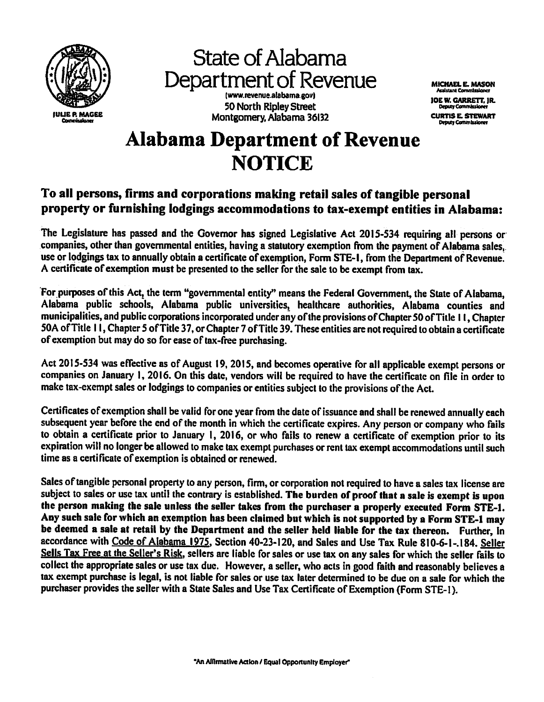

**State of Alabama** Department of Revenue (www.revenue.alabama.gov) 50 North Ripley Street Montgomery, Alabama 36132

**MICHAEL E. MASON Amistant Commissioner** 

**JOE W. GARRETT, IR. Deputy Commission CURTIS E. STEWART Detaily Commissioner** 

# **Alabama Department of Revenue NOTICE**

# To all persons, firms and corporations making retail sales of tangible personal property or furnishing lodgings accommodations to tax-exempt entities in Alabama:

The Legislature has passed and the Governor has signed Legislative Act 2015-534 requiring all persons or companies, other than governmental entities, having a statutory exemption from the payment of Alabama sales, use or lodgings tax to annually obtain a certificate of exemption, Form STE-1, from the Department of Revenue. A certificate of exemption must be presented to the seller for the sale to be exempt from tax.

For purposes of this Act, the term "governmental entity" means the Federal Government, the State of Alabama, Alabama public schools, Alabama public universities, healthcare authorities, Alabama counties and municipalities, and public corporations incorporated under any of the provisions of Chapter 50 of Title 11, Chapter 50A of Title 11, Chapter 5 of Title 37, or Chapter 7 of Title 39. These entities are not required to obtain a certificate of exemption but may do so for ease of tax-free purchasing.

Act 2015-534 was effective as of August 19, 2015, and becomes operative for all applicable exempt persons or companies on January 1, 2016. On this date, vendors will be required to have the certificate on file in order to make tax-exempt sales or lodgings to companies or entities subject to the provisions of the Act.

Certificates of exemption shall be valid for one year from the date of issuance and shall be renewed annually each subsequent year before the end of the month in which the certificate expires. Any person or company who fails to obtain a certificate prior to January 1, 2016, or who fails to renew a certificate of exemption prior to its expiration will no longer be allowed to make tax exempt purchases or rent tax exempt accommodations until such time as a certificate of exemption is obtained or renewed.

Sales of tangible personal property to any person, firm, or corporation not required to have a sales tax license are subject to sales or use tax until the contrary is established. The burden of proof that a sale is exempt is upon the person making the sale unless the seller takes from the purchaser a properly executed Form STE-1. Any such sale for which an exemption has been claimed but which is not supported by a Form STE-1 may be deemed a sale at retail by the Department and the seller held liable for the tax thereon. Further, in accordance with Code of Alabama 1975, Section 40-23-120, and Sales and Use Tax Rule 810-6-1-.184. Seller Sells Tax Free at the Seller's Risk, sellers are liable for sales or use tax on any sales for which the seller fails to collect the appropriate sales or use tax due. However, a seller, who acts in good faith and reasonably believes a tax exempt purchase is legal, is not liable for sales or use tax later determined to be due on a sale for which the purchaser provides the seller with a State Sales and Use Tax Certificate of Exemption (Form STE-1).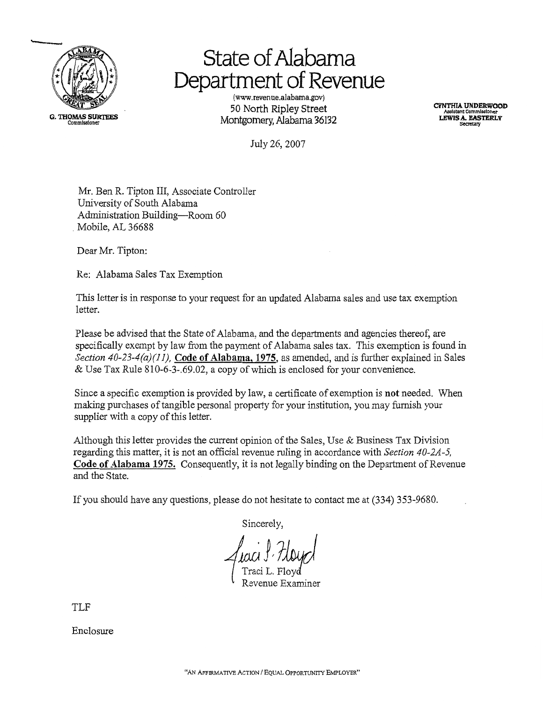

# **State of Alabama** Department of Revenue

(www.revenue.alabama.gov) 50 North Ripley Street Montgomery, Alabama 36132

**CYNTHIA UNDERWOOD LEWIS A. EASTERLY** 

July 26, 2007

Mr. Ben R. Tipton III, Associate Controller University of South Alabama Administration Building-Room 60 Mobile, AL 36688

Dear Mr. Tipton:

Re: Alabama Sales Tax Exemption

This letter is in response to your request for an updated Alabama sales and use tax exemption letter.

Please be advised that the State of Alabama, and the departments and agencies thereof, are specifically exempt by law from the payment of Alabama sales tax. This exemption is found in Section 40-23-4(a)(11), Code of Alabama, 1975, as amended, and is further explained in Sales & Use Tax Rule 810-6-3-.69.02, a copy of which is enclosed for your convenience.

Since a specific exemption is provided by law, a certificate of exemption is not needed. When making purchases of tangible personal property for your institution, you may furnish your supplier with a copy of this letter.

Although this letter provides the current opinion of the Sales, Use & Business Tax Division regarding this matter, it is not an official revenue ruling in accordance with Section 40-2A-5, Code of Alabama 1975. Consequently, it is not legally binding on the Department of Revenue and the State.

If you should have any questions, please do not hesitate to contact me at (334) 353-9680.

Sincerely.

TLF

Enclosure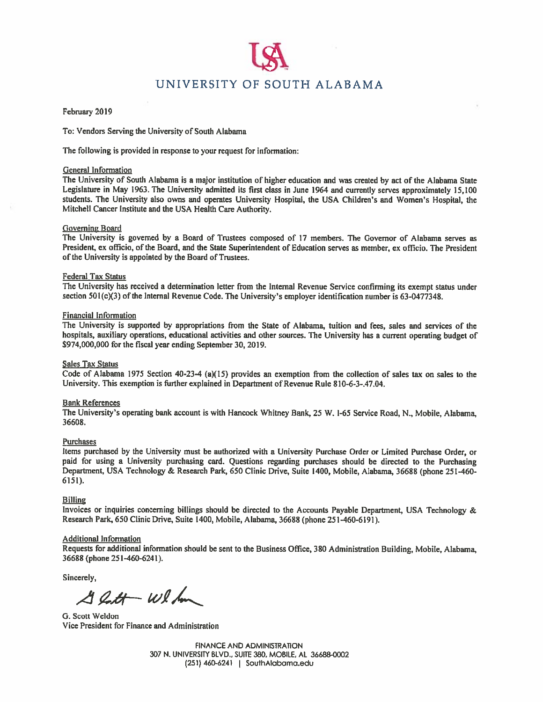# UNIVERSITY OF SOUTH ALABAMA

#### February 2019

To: Vendors Serving the University of South Alabama

The following is provided in response to your request for information:

#### **General Information**

The University of South Alabama is a major institution of higher education and was created by act of the Alabama State Legislature in May 1963. The University admitted its first class in June 1964 and currently serves approximately 15,100 students. The University also owns and operates University Hospital, the USA Children's and Women's Hospital, the Mitchell Cancer Institute and the USA Health Care Authority.

#### **Governing Board**

The University is governed by a Board of Trustees composed of 17 members. The Governor of Alabama serves as President, ex officio, of the Board, and the State Superintendent of Education serves as member, ex officio. The President of the University is appointed by the Board of Trustees.

#### **Federal Tax Status**

The University has received a determination letter from the Internal Revenue Service confirming its exempt status under section 501(c)(3) of the Internal Revenue Code. The University's employer identification number is 63-0477348.

#### **Financial Information**

The University is supported by appropriations from the State of Alabama, tuition and fees, sales and services of the hospitals, auxiliary operations, educational activities and other sources. The University has a current operating budget of \$974,000,000 for the fiscal year ending September 30, 2019.

#### Sales Tax Status

Code of Alabama 1975 Section 40-23-4 (a)(15) provides an exemption from the collection of sales tax on sales to the University. This exemption is further explained in Department of Revenue Rule 810-6-3-.47.04.

#### **Bank References**

The University's operating bank account is with Hancock Whitney Bank, 25 W. 1-65 Service Road, N., Mobile, Alabama, 36608.

#### **Purchases**

Items purchased by the University must be authorized with a University Purchase Order or Limited Purchase Order, or paid for using a University purchasing card. Questions regarding purchases should be directed to the Purchasing Department, USA Technology & Research Park, 650 Clinic Drive, Suite 1400, Mobile, Alabama, 36688 (phone 251-460-6151).

#### **Billing**

Invoices or inquiries concerning billings should be directed to the Accounts Payable Department, USA Technology & Research Park, 650 Clinic Drive, Suite 1400, Mobile, Alabama, 36688 (phone 251-460-6191).

#### **Additional Information**

Requests for additional information should be sent to the Business Office, 380 Administration Building, Mobile, Alabama, 36688 (phone 251-460-6241).

Sincerely,

 $42t+wl/m$ 

G. Scott Weldon Vice President for Finance and Administration

**FINANCE AND ADMINISTRATION** 307 N. UNIVERSITY BLVD., SUITE 380, MOBILE, AL 36688-0002  $(251)$  460-6241 | SouthAlabama.edu